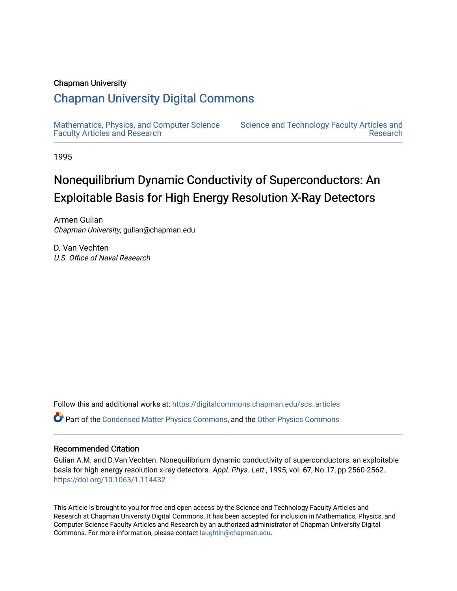#### Chapman University

## [Chapman University Digital Commons](https://digitalcommons.chapman.edu/)

[Mathematics, Physics, and Computer Science](https://digitalcommons.chapman.edu/scs_articles)  [Faculty Articles and Research](https://digitalcommons.chapman.edu/scs_articles)

[Science and Technology Faculty Articles and](https://digitalcommons.chapman.edu/science_articles)  [Research](https://digitalcommons.chapman.edu/science_articles) 

1995

# Nonequilibrium Dynamic Conductivity of Superconductors: An Exploitable Basis for High Energy Resolution X-Ray Detectors

Armen Gulian Chapman University, gulian@chapman.edu

D. Van Vechten U.S. Office of Naval Research

Follow this and additional works at: [https://digitalcommons.chapman.edu/scs\\_articles](https://digitalcommons.chapman.edu/scs_articles?utm_source=digitalcommons.chapman.edu%2Fscs_articles%2F763&utm_medium=PDF&utm_campaign=PDFCoverPages) 

Part of the [Condensed Matter Physics Commons,](http://network.bepress.com/hgg/discipline/197?utm_source=digitalcommons.chapman.edu%2Fscs_articles%2F763&utm_medium=PDF&utm_campaign=PDFCoverPages) and the [Other Physics Commons](http://network.bepress.com/hgg/discipline/207?utm_source=digitalcommons.chapman.edu%2Fscs_articles%2F763&utm_medium=PDF&utm_campaign=PDFCoverPages) 

#### Recommended Citation

Gulian A.M. and D.Van Vechten. Nonequilibrium dynamic conductivity of superconductors: an exploitable basis for high energy resolution x-ray detectors. Appl. Phys. Lett., 1995, vol. 67, No.17, pp.2560-2562. <https://doi.org/10.1063/1.114432>

This Article is brought to you for free and open access by the Science and Technology Faculty Articles and Research at Chapman University Digital Commons. It has been accepted for inclusion in Mathematics, Physics, and Computer Science Faculty Articles and Research by an authorized administrator of Chapman University Digital Commons. For more information, please contact [laughtin@chapman.edu.](mailto:laughtin@chapman.edu)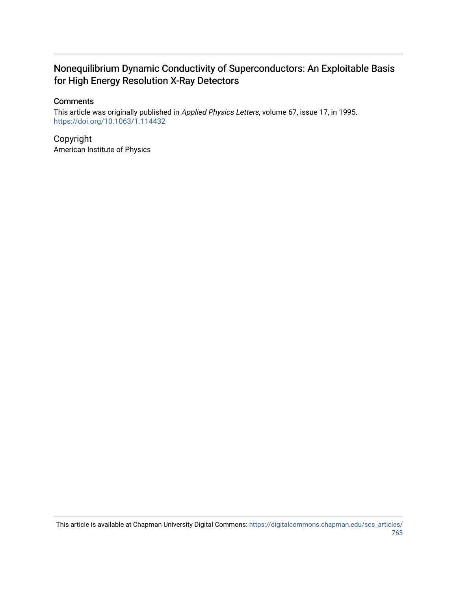### Nonequilibrium Dynamic Conductivity of Superconductors: An Exploitable Basis for High Energy Resolution X-Ray Detectors

#### **Comments**

This article was originally published in Applied Physics Letters, volume 67, issue 17, in 1995. <https://doi.org/10.1063/1.114432>

Copyright American Institute of Physics

This article is available at Chapman University Digital Commons: [https://digitalcommons.chapman.edu/scs\\_articles/](https://digitalcommons.chapman.edu/scs_articles/763) [763](https://digitalcommons.chapman.edu/scs_articles/763)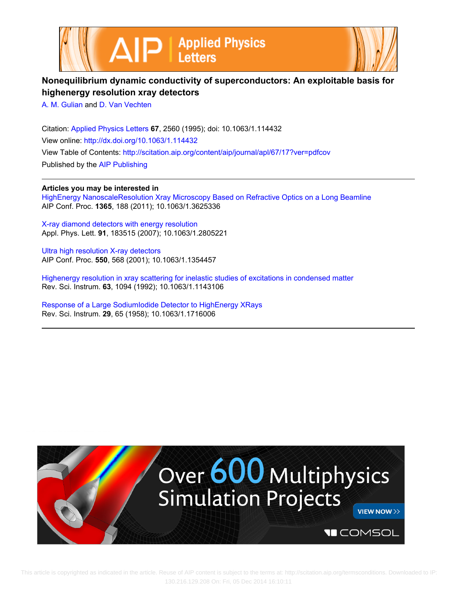



### **Nonequilibrium dynamic conductivity of superconductors: An exploitable basis for highenergy resolution xray detectors**

[A. M. Gulian](http://scitation.aip.org/search?value1=A.+M.+Gulian&option1=author) and [D. Van Vechten](http://scitation.aip.org/search?value1=D.+Van+Vechten&option1=author)

Citation: [Applied Physics Letters](http://scitation.aip.org/content/aip/journal/apl?ver=pdfcov) **67**, 2560 (1995); doi: 10.1063/1.114432 View online: <http://dx.doi.org/10.1063/1.114432> View Table of Contents: <http://scitation.aip.org/content/aip/journal/apl/67/17?ver=pdfcov> Published by the [AIP Publishing](http://scitation.aip.org/content/aip?ver=pdfcov)

**Articles you may be interested in**

[HighEnergy NanoscaleResolution Xray Microscopy Based on Refractive Optics on a Long Beamline](http://scitation.aip.org/content/aip/proceeding/aipcp/10.1063/1.3625336?ver=pdfcov) AIP Conf. Proc. **1365**, 188 (2011); 10.1063/1.3625336

[X-ray diamond detectors with energy resolution](http://scitation.aip.org/content/aip/journal/apl/91/18/10.1063/1.2805221?ver=pdfcov) Appl. Phys. Lett. **91**, 183515 (2007); 10.1063/1.2805221

[Ultra high resolution X-ray detectors](http://scitation.aip.org/content/aip/proceeding/aipcp/10.1063/1.1354457?ver=pdfcov) AIP Conf. Proc. **550**, 568 (2001); 10.1063/1.1354457

[Highenergy resolution in xray scattering for inelastic studies of excitations in condensed matter](http://scitation.aip.org/content/aip/journal/rsi/63/1/10.1063/1.1143106?ver=pdfcov) Rev. Sci. Instrum. **63**, 1094 (1992); 10.1063/1.1143106

[Response of a Large SodiumIodide Detector to HighEnergy XRays](http://scitation.aip.org/content/aip/journal/rsi/29/1/10.1063/1.1716006?ver=pdfcov) Rev. Sci. Instrum. **29**, 65 (1958); 10.1063/1.1716006

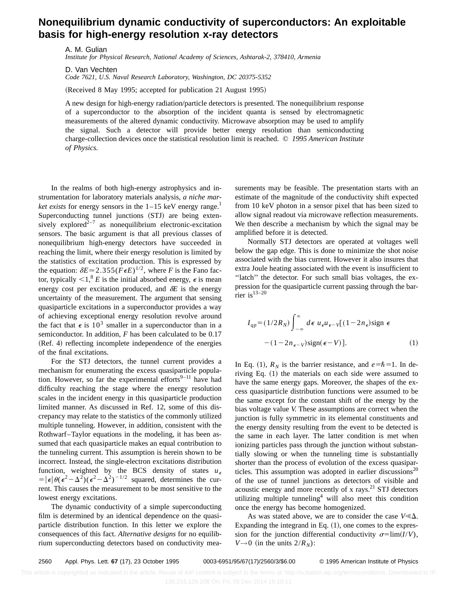### **Nonequilibrium dynamic conductivity of superconductors: An exploitable basis for high-energy resolution x-ray detectors**

A. M. Gulian

*Institute for Physical Research, National Academy of Sciences, Ashtarak-2, 378410, Armenia*

D. Van Vechten *Code 7621, U.S. Naval Research Laboratory, Washington, DC 20375-5352*

(Received 8 May 1995; accepted for publication 21 August 1995)

A new design for high-energy radiation/particle detectors is presented. The nonequilibrium response of a superconductor to the absorption of the incident quanta is sensed by electromagnetic measurements of the altered dynamic conductivity. Microwave absorption may be used to amplify the signal. Such a detector will provide better energy resolution than semiconducting charge-collection devices once the statistical resolution limit is reached. © *1995 American Institute of Physics.*

In the realms of both high-energy astrophysics and instrumentation for laboratory materials analysis, *a niche market exists* for energy sensors in the  $1-15$  keV energy range.<sup>1</sup> Superconducting tunnel junctions (STJ) are being extensively explored<sup> $2-7$ </sup> as nonequilibrium electronic-excitation sensors. The basic argument is that all previous classes of nonequilibrium high-energy detectors have succeeded in reaching the limit, where their energy resolution is limited by the statistics of excitation production. This is expressed by the equation:  $\delta E \approx 2.355 (F \epsilon E)^{1/2}$ , where *F* is the Fano factor, typically  $\lt 1$ ,<sup>8</sup> *E* is the initial absorbed energy,  $\epsilon$  is mean energy cost per excitation produced, and  $\delta E$  is the energy uncertainty of the measurement. The argument that sensing quasiparticle excitations in a superconductor provides a way of achieving exceptional energy resolution revolve around the fact that  $\epsilon$  is 10<sup>3</sup> smaller in a superconductor than in a semiconductor. In addition, *F* has been calculated to be 0.17 (Ref. 4) reflecting incomplete independence of the energies of the final excitations.

For the STJ detectors, the tunnel current provides a mechanism for enumerating the excess quasiparticle population. However, so far the experimental efforts<sup>9–11</sup> have had difficulty reaching the stage where the energy resolution scales in the incident energy in this quasiparticle production limited manner. As discussed in Ref. 12, some of this discrepancy may relate to the statistics of the commonly utilized multiple tunneling. However, in addition, consistent with the Rothwarf–Taylor equations in the modeling, it has been assumed that each quasiparticle makes an equal contribution to the tunneling current. This assumption is herein shown to be incorrect. Instead, the single-electron excitations distribution function, weighted by the BCS density of states  $u_{\epsilon}$  $=|\epsilon|\theta(\epsilon^2-\Delta^2)(\epsilon^2-\Delta^2)^{-1/2}$  squared, determines the current. This causes the measurement to be most sensitive to the lowest energy excitations.

The dynamic conductivity of a simple superconducting film is determined by an identical dependence on the quasiparticle distribution function. In this letter we explore the consequences of this fact. *Alternative designs* for no equilibrium superconducting detectors based on conductivity measurements may be feasible. The presentation starts with an estimate of the magnitude of the conductivity shift expected from 10 keV photon in a sensor pixel that has been sized to allow signal readout via microwave reflection measurements. We then describe a mechanism by which the signal may be amplified before it is detected.

Normally STJ detectors are operated at voltages well below the gap edge. This is done to minimize the shot noise associated with the bias current. However it also insures that extra Joule heating associated with the event is insufficient to ''latch'' the detector. For such small bias voltages, the expression for the quasiparticle current passing through the barrier is $13-20$ 

$$
I_{qp} = (1/2R_N) \int_{-\infty}^{\infty} d\epsilon \ u_{\epsilon} u_{\epsilon - V} [(1 - 2n_{\epsilon}) \text{sign } \epsilon -(1 - 2n_{\epsilon - V}) \text{sign}(\epsilon - V)]. \tag{1}
$$

In Eq. (1),  $R_N$  is the barrier resistance, and  $e=\hbar=1$ . In deriving Eq.  $(1)$  the materials on each side were assumed to have the same energy gaps. Moreover, the shapes of the excess quasiparticle distribution functions were assumed to be the same except for the constant shift of the energy by the bias voltage value *V.* These assumptions are correct when the junction is fully symmetric in its elemental constituents and the energy density resulting from the event to be detected is the same in each layer. The latter condition is met when ionizing particles pass through the junction without substantially slowing or when the tunneling time is substantially shorter than the process of evolution of the excess quasiparticles. This assumption was adopted in earlier discussions<sup>20</sup> of the use of tunnel junctions as detectors of visible and acoustic energy and more recently of x rays. $^{21}$  STJ detectors utilizing multiple tunneling<sup>4</sup> will also meet this condition once the energy has become homogenized.

As was stated above, we are to consider the case  $V \ll \Delta$ . Expanding the integrand in Eq.  $(1)$ , one comes to the expression for the junction differential conductivity  $\sigma = \lim(I/V)$ ,  $V \rightarrow 0$  (in the units  $2/R<sub>N</sub>$ ):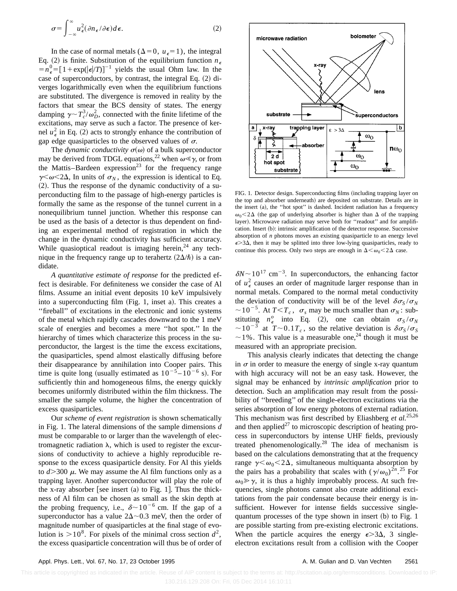$$
\sigma = \int_{-\infty}^{\infty} u_{\epsilon}^{2} (\partial n_{\epsilon} / \partial \epsilon) d\epsilon.
$$
 (2)

In the case of normal metals ( $\Delta=0$ ,  $u_{\epsilon}=1$ ), the integral Eq. (2) is finite. Substitution of the equilibrium function  $n_{\epsilon}$  $=n_e^0 = [1 + \exp(|\epsilon|/T)]^{-1}$  yields the usual Ohm law. In the case of superconductors, by contrast, the integral Eq.  $(2)$  diverges logarithmically even when the equilibrium functions are substituted. The divergence is removed in reality by the factors that smear the BCS density of states. The energy damping  $\gamma \sim T_c^3/\omega_D^2$ , connected with the finite lifetime of the excitations, may serve as such a factor. The presence of kernel  $u_{\epsilon}^2$  in Eq. (2) acts to strongly enhance the contribution of gap edge quasiparticles to the observed values of  $\sigma$ .

The *dynamic conductivity*  $\sigma(\omega)$  of a bulk superconductor may be derived from TDGL equations,<sup>22</sup> when  $\omega \ll \gamma$ , or from the Mattis–Bardeen expression<sup>23</sup> for the frequency range  $\gamma \leq \omega \leq 2\Delta$ , In units of  $\sigma_N$ , the expression is identical to Eq.  $(2)$ . Thus the response of the dynamic conductivity of a superconducting film to the passage of high-energy particles is formally the same as the response of the tunnel current in a nonequilibrium tunnel junction. Whether this response can be used as the basis of a detector is thus dependent on finding an experimental method of registration in which the change in the dynamic conductivity has sufficient accuracy. While quasioptical readout is imaging herein,  $24$  any technique in the frequency range up to terahertz  $(2\Delta/\hbar)$  is a candidate.

*A quantitative estimate of response* for the predicted effect is desirable. For definiteness we consider the case of Al films. Assume an initial event deposits 10 keV impulsively into a superconducting film  $(Fig. 1,$  inset a). This creates a ''fireball'' of excitations in the electronic and ionic systems of the metal which rapidly cascades downward to the 1 meV scale of energies and becomes a mere ''hot spot.'' In the hierarchy of times which characterize this process in the superconductor, the largest is the time the excess excitations, the quasiparticles, spend almost elastically diffusing before their disappearance by annihilation into Cooper pairs. This time is quite long (usually estimated as  $10^{-5} - 10^{-6}$  s). For sufficiently thin and homogeneous films, the energy quickly becomes uniformly distributed within the film thickness. The smaller the sample volume, the higher the concentration of excess quasiparticles.

Our *scheme of event registration* is shown schematically in Fig. 1. The lateral dimensions of the sample dimensions *d* must be comparable to or larger than the wavelength of electromagnetic radiation  $\lambda$ , which is used to register the excursions of conductivity to achieve a highly reproducible response to the excess quasiparticle density. For Al this yields to  $d > 300 \mu$ . We may assume the Al film functions only as a trapping layer. Another superconductor will play the role of the x-ray absorber [see insert (a) to Fig. 1]. Thus the thickness of Al film can be chosen as small as the skin depth at the probing frequency, i.e.,  $\delta \sim 10^{-6}$  cm. If the gap of a superconductor has a value  $2\Delta \sim 0.3$  meV, then the order of magnitude number of quasiparticles at the final stage of evolution is  $>10^8$ . For pixels of the minimal cross section  $d^2$ , the excess quasiparticle concentration will thus be of order of



FIG. 1. Detector design. Superconducting films (including trapping layer on the top and absorber underneath) are deposited on substrate. Details are in the insert  $(a)$ , the "hot spot" is dashed. Incident radiation has a frequency  $\omega_0$ <2 $\Delta$  (the gap of underlying absorber is higher than  $\Delta$  of the trapping layer). Microwave radiation may serve both for "readout" and for amplification. Insert (b): intrinsic amplification of the detector response. Successive absorption of *n* photons moves an existing quasiparticle to an energy level  $\epsilon$  > 3 $\Delta$ , then it may be splitted into three low-lying quasiparticles, ready to continue this process. Only two steps are enough in  $\Delta < \omega_0 < 2\Delta$  case.

 $\delta N \sim 10^{17}$  cm<sup>-3</sup>. In superconductors, the enhancing factor of  $u_{\epsilon}^2$  causes an order of magnitude larger response than in normal metals. Compared to the normal metal conductivity the deviation of conductivity will be of the level  $\delta \sigma_S / \sigma_N$  $\sim$  10<sup>-5</sup>. At *T*<*T<sub>c</sub>*,  $\sigma_s$  may be much smaller than  $\sigma_N$ : substituting  $n_e^o$  into Eq. (2), one can obtain  $\sigma_S / \sigma_N$  $\sim$  10<sup>-3</sup> at *T* $\sim$ 0.1*T<sub>c</sub>*, so the relative deviation is  $\delta \sigma_S / \sigma_S$  $\sim$  1%. This value is a measurable one,<sup>24</sup> though it must be measured with an appropriate precision.

This analysis clearly indicates that detecting the change in  $\sigma$  in order to measure the energy of single x-ray quantum with high accuracy will not be an easy task. However, the signal may be enhanced by *intrinsic amplification* prior to detection. Such an amplification may result from the possibility of ''breeding'' of the single-electron excitations via the series absorption of low energy photons of external radiation. This mechanism was first described by Eliashberg *et al.*25,26 and then applied $^{27}$  to microscopic description of heating process in superconductors by intense UHF fields, previously treated phenomenologically.28 The idea of mechanism is based on the calculations demonstrating that at the frequency range  $\gamma < \omega_0 < 2\Delta$ , simultaneous multiquanta absorption by the pairs has a probability that scales with  $(\gamma/\omega_0)^{2n}$ .<sup>25</sup> For  $\omega_0 \gg \gamma$ , it is thus a highly improbably process. At such frequencies, single photons cannot also create additional excitations from the pair condensate because their energy is insufficient. However for intense fields successive singlequantum processes of the type shown in insert  $(b)$  to Fig. 1 are possible starting from pre-existing electronic excitations. When the particle acquires the energy  $\epsilon > 3\Delta$ , 3 singleelectron excitations result from a collision with the Cooper

This article is copyrighted as indicated in the article. Reuse of AIP content is subject to the terms at: http://scitation.aip.org/termsconditions. Downloaded to IP: 130.216.129.208 On: Fri, 05 Dec 2014 16:10:11